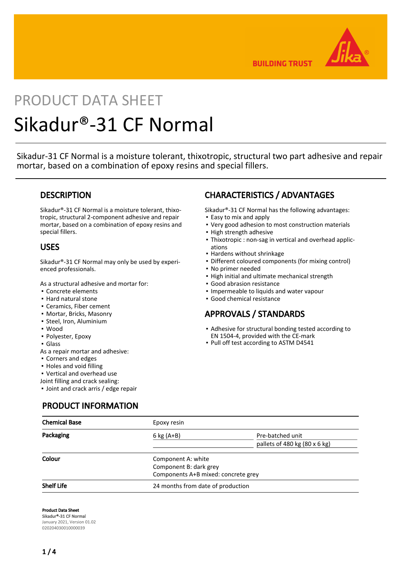

**BUILDING TRUST** 

# PRODUCT DATA SHEET Sikadur®-31 CF Normal

Sikadur-31 CF Normal is a moisture tolerant, thixotropic, structural two part adhesive and repair mortar, based on a combination of epoxy resins and special fillers.

# **DESCRIPTION**

Sikadur®-31 CF Normal is a moisture tolerant, thixotropic, structural 2-component adhesive and repair mortar, based on a combination of epoxy resins and special fillers.

# USES

Sikadur®-31 CF Normal may only be used by experienced professionals.

As a structural adhesive and mortar for:

- Concrete elements
- Hard natural stone
- Ceramics, Fiber cement
- Mortar, Bricks, Masonry
- Steel, Iron, Aluminium
- Wood
- Polyester, Epoxy
- Glass
- As a repair mortar and adhesive:
- Corners and edges
- Holes and void filling
- Vertical and overhead use

Joint filling and crack sealing:

▪ Joint and crack arris / edge repair

PRODUCT INFORMATION

# CHARACTERISTICS / ADVANTAGES

Sikadur®-31 CF Normal has the following advantages:

- Easy to mix and apply
- Very good adhesion to most construction materials
- High strength adhesive
- Thixotropic : non-sag in vertical and overhead applic-▪ ations
- Hardens without shrinkage
- Different coloured components (for mixing control)
- No primer needed
- **.** High initial and ultimate mechanical strength
- Good abrasion resistance
- **.** Impermeable to liquids and water vapour
- Good chemical resistance

# APPROVALS / STANDARDS

- Adhesive for structural bonding tested according to EN 1504-4, provided with the CE-mark
- Pull off test according to ASTM D4541

| <b>Chemical Base</b> | Epoxy resin                         |                                              |  |
|----------------------|-------------------------------------|----------------------------------------------|--|
| Packaging            | $6$ kg (A+B)                        | Pre-batched unit                             |  |
|                      |                                     | pallets of 480 kg $(80 \times 6 \text{ kg})$ |  |
| Colour               | Component A: white                  |                                              |  |
|                      | Component B: dark grey              |                                              |  |
|                      | Components A+B mixed: concrete grey |                                              |  |
| <b>Shelf Life</b>    | 24 months from date of production   |                                              |  |

Product Data Sheet Sikadur®-31 CF Normal January 2021, Version 01.02 020204030010000039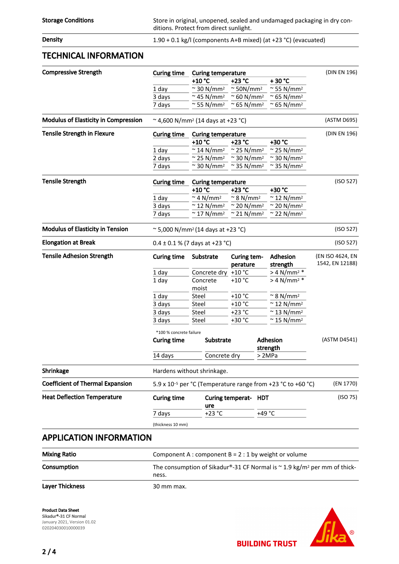Density **Density** 1.90 + 0.1 kg/l (components A+B mixed) (at +23 °C) (evacuated)

### TECHNICAL INFORMATION

| <b>Compressive Strength</b>                 | <b>Curing time</b><br><b>Curing temperature</b>                         |                                |                                | (DIN EN 196)                   |                  |
|---------------------------------------------|-------------------------------------------------------------------------|--------------------------------|--------------------------------|--------------------------------|------------------|
|                                             |                                                                         | +10 °C                         | +23 °C                         | +30 °C                         |                  |
|                                             | 1 day                                                                   | $\approx$ 30 N/mm <sup>2</sup> | $\approx$ 50N/mm <sup>2</sup>  | $\approx$ 55 N/mm <sup>2</sup> |                  |
|                                             | 3 days                                                                  | $\approx$ 45 N/mm <sup>2</sup> | $\approx$ 60 N/mm <sup>2</sup> | 65 N/mm <sup>2</sup>           |                  |
|                                             | 7 days                                                                  | $\approx$ 55 N/mm <sup>2</sup> | $\approx$ 65 N/mm <sup>2</sup> | 65 N/mm <sup>2</sup>           |                  |
| <b>Modulus of Elasticity in Compression</b> | $\sim$ 4,600 N/mm <sup>2</sup> (14 days at +23 °C)                      |                                |                                |                                |                  |
| <b>Tensile Strength in Flexure</b>          | <b>Curing time</b><br><b>Curing temperature</b>                         |                                |                                |                                | (DIN EN 196)     |
|                                             |                                                                         | +10 °C                         | +23 °C                         | +30 °C                         |                  |
|                                             | 1 day                                                                   | $\approx$ 14 N/mm <sup>2</sup> | $\approx$ 25 N/mm <sup>2</sup> | $\approx$ 25 N/mm <sup>2</sup> |                  |
|                                             | 2 days                                                                  | $\approx$ 25 N/mm <sup>2</sup> | $\approx$ 30 N/mm <sup>2</sup> | $\approx$ 30 N/mm <sup>2</sup> |                  |
|                                             | 7 days                                                                  | $\approx$ 30 N/mm <sup>2</sup> | $\approx$ 35 N/mm <sup>2</sup> | 35 N/mm <sup>2</sup>           |                  |
| <b>Tensile Strength</b>                     | <b>Curing time</b>                                                      | <b>Curing temperature</b>      |                                |                                | (ISO 527)        |
|                                             |                                                                         | +10 °C                         | +23 °C                         | +30 °C                         |                  |
|                                             | 1 day                                                                   | $\approx$ 4 N/mm <sup>2</sup>  | $\approx$ 8 N/mm <sup>2</sup>  | $\approx$ 12 N/mm <sup>2</sup> |                  |
|                                             | 3 days                                                                  | $\approx$ 12 N/mm <sup>2</sup> | $\approx$ 20 N/mm <sup>2</sup> | $\approx$ 20 N/mm <sup>2</sup> |                  |
|                                             | 7 days                                                                  | $\approx$ 17 N/mm <sup>2</sup> | $\approx$ 21 N/mm <sup>2</sup> | $\approx$ 22 N/mm <sup>2</sup> |                  |
| <b>Modulus of Elasticity in Tension</b>     | $\approx$ 5,000 N/mm <sup>2</sup> (14 days at +23 °C)                   | (ISO 527)                      |                                |                                |                  |
| <b>Elongation at Break</b>                  | $0.4 \pm 0.1$ % (7 days at +23 °C)                                      |                                |                                |                                | (ISO 527)        |
| <b>Tensile Adhesion Strength</b>            | <b>Curing time</b>                                                      | Substrate                      | Curing tem-                    | <b>Adhesion</b>                | (EN ISO 4624, EN |
|                                             |                                                                         |                                | perature                       | strength                       | 1542, EN 12188)  |
|                                             | 1 day                                                                   | Concrete dry                   | $+10$ °C                       | $> 4 N/mm^2$ *                 |                  |
|                                             | 1 day                                                                   | Concrete<br>moist              | $+10$ °C                       | $> 4$ N/mm <sup>2</sup> *      |                  |
|                                             | 1 day                                                                   | Steel                          | $+10$ °C                       | $\approx$ 8 N/mm <sup>2</sup>  |                  |
|                                             | 3 days                                                                  | Steel                          | $+10$ °C                       | $\approx$ 12 N/mm <sup>2</sup> |                  |
|                                             | 3 days                                                                  | Steel                          | $+23 °C$                       | $\approx$ 13 N/mm <sup>2</sup> |                  |
|                                             | 3 days                                                                  | Steel                          | +30 °C                         | $\approx$ 15 N/mm <sup>2</sup> |                  |
|                                             | *100 % concrete failure                                                 |                                |                                |                                |                  |
|                                             | <b>Curing time</b>                                                      | Substrate                      |                                | Adhesion<br>strength           | (ASTM D4541)     |
|                                             | 14 days                                                                 | Concrete dry                   |                                | >2MPa                          |                  |
| Shrinkage                                   |                                                                         | Hardens without shrinkage.     |                                |                                |                  |
| <b>Coefficient of Thermal Expansion</b>     | 5.9 x 10 <sup>-5</sup> per °C (Temperature range from +23 °C to +60 °C) |                                |                                |                                | (EN 1770)        |
| <b>Heat Deflection Temperature</b>          | <b>Curing time</b><br>ure                                               |                                | Curing temperat- HDT           |                                | (ISO 75)         |
|                                             | $+23$ °C<br>7 days                                                      |                                | +49 $^{\circ}$ C               |                                |                  |
|                                             | (thickness 10 mm)                                                       |                                |                                |                                |                  |
| <b>APPLICATION INFORMATION</b>              |                                                                         |                                |                                |                                |                  |
|                                             |                                                                         |                                |                                |                                |                  |

| <b>Mixing Ratio</b>    | Component A : component $B = 2 : 1$ by weight or volume                                            |
|------------------------|----------------------------------------------------------------------------------------------------|
| Consumption            | The consumption of Sikadur®-31 CF Normal is $\sim$ 1.9 kg/m <sup>2</sup> per mm of thick-<br>ness. |
| <b>Layer Thickness</b> | 30 mm max.                                                                                         |

Product Data Sheet Sikadur®-31 CF Normal January 2021, Version 01.02 020204030010000039



**BUILDING TRUST**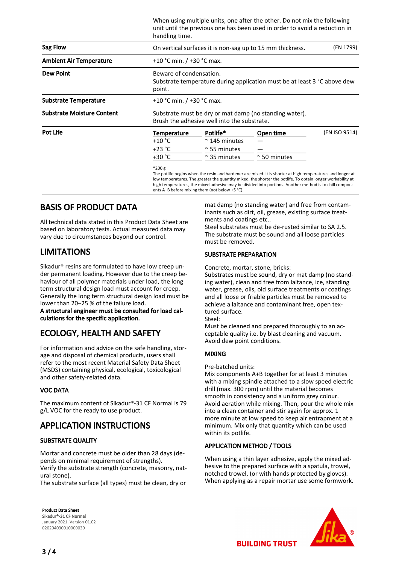|                                   | When using multiple units, one after the other. Do not mix the following<br>unit until the previous one has been used in order to avoid a reduction in<br>handling time. |                       |                                                                                                                                                                                                                          |               |  |  |
|-----------------------------------|--------------------------------------------------------------------------------------------------------------------------------------------------------------------------|-----------------------|--------------------------------------------------------------------------------------------------------------------------------------------------------------------------------------------------------------------------|---------------|--|--|
| Sag Flow                          | On vertical surfaces it is non-sag up to 15 mm thickness.<br>(EN 1799)                                                                                                   |                       |                                                                                                                                                                                                                          |               |  |  |
| <b>Ambient Air Temperature</b>    | +10 °C min. $/$ +30 °C max.                                                                                                                                              |                       |                                                                                                                                                                                                                          |               |  |  |
| <b>Dew Point</b>                  | Beware of condensation.<br>Substrate temperature during application must be at least 3 °C above dew<br>point.                                                            |                       |                                                                                                                                                                                                                          |               |  |  |
| <b>Substrate Temperature</b>      | +10 °C min. / +30 °C max.                                                                                                                                                |                       |                                                                                                                                                                                                                          |               |  |  |
| <b>Substrate Moisture Content</b> | Substrate must be dry or mat damp (no standing water).<br>Brush the adhesive well into the substrate.                                                                    |                       |                                                                                                                                                                                                                          |               |  |  |
| <b>Pot Life</b>                   | Temperature                                                                                                                                                              | Potlife*              | Open time                                                                                                                                                                                                                | (EN ISO 9514) |  |  |
|                                   | $+10 °C$                                                                                                                                                                 | $\approx$ 145 minutes |                                                                                                                                                                                                                          |               |  |  |
|                                   | $+23 °C$                                                                                                                                                                 | $\approx$ 55 minutes  |                                                                                                                                                                                                                          |               |  |  |
|                                   | +30 °C                                                                                                                                                                   | $\approx$ 35 minutes  | $\approx$ 50 minutes                                                                                                                                                                                                     |               |  |  |
|                                   | $*200 g$                                                                                                                                                                 |                       | The potlife begins when the resin and hardener are mixed. It is shorter at high temperatures and longer at<br>low temperatures. The greater the quantity mixed, the shorter the potlife. To obtain longer workability at |               |  |  |

high temperatures, the mixed adhesive may be divided into portions. Another method is to chill components A+B before mixing them (not below +5 °C).

# BASIS OF PRODUCT DATA

All technical data stated in this Product Data Sheet are based on laboratory tests. Actual measured data may vary due to circumstances beyond our control.

# LIMITATIONS

Sikadur® resins are formulated to have low creep under permanent loading. However due to the creep behaviour of all polymer materials under load, the long term structural design load must account for creep. Generally the long term structural design load must be lower than 20−25 % of the failure load.

A structural engineer must be consulted for load calculations for the specific application.

# ECOLOGY, HEALTH AND SAFETY

For information and advice on the safe handling, storage and disposal of chemical products, users shall refer to the most recent Material Safety Data Sheet (MSDS) containing physical, ecological, toxicological and other safety-related data.

#### VOC DATA

The maximum content of Sikadur®-31 CF Normal is 79 g/L VOC for the ready to use product.

# APPLICATION INSTRUCTIONS

#### SUBSTRATE QUALITY

Mortar and concrete must be older than 28 days (depends on minimal requirement of strengths). Verify the substrate strength (concrete, masonry, natural stone).

The substrate surface (all types) must be clean, dry or

Product Data Sheet Sikadur®-31 CF Normal January 2021, Version 01.02 020204030010000039

mat damp (no standing water) and free from contaminants such as dirt, oil, grease, existing surface treatments and coatings etc..

Steel substrates must be de-rusted similar to SA 2.5. The substrate must be sound and all loose particles must be removed.

#### SUBSTRATE PREPARATION

Concrete, mortar, stone, bricks:

Substrates must be sound, dry or mat damp (no standing water), clean and free from laitance, ice, standing water, grease, oils, old surface treatments or coatings and all loose or friable particles must be removed to achieve a laitance and contaminant free, open textured surface.

Steel:

Must be cleaned and prepared thoroughly to an acceptable quality i.e. by blast cleaning and vacuum. Avoid dew point conditions.

#### MIXING

Pre-batched units:

Mix components A+B together for at least 3 minutes with a mixing spindle attached to a slow speed electric drill (max. 300 rpm) until the material becomes smooth in consistency and a uniform grey colour. Avoid aeration while mixing. Then, pour the whole mix into a clean container and stir again for approx. 1 more minute at low speed to keep air entrapment at a minimum. Mix only that quantity which can be used within its potlife.

#### APPLICATION METHOD / TOOLS

When using a thin layer adhesive, apply the mixed adhesive to the prepared surface with a spatula, trowel, notched trowel, (or with hands protected by gloves). When applying as a repair mortar use some formwork.



**BUILDING TRUST**